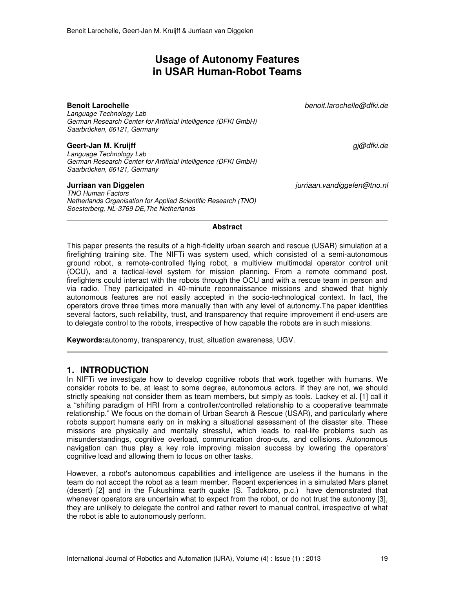# **Usage of Autonomy Features in USAR Human-Robot Teams**

**Benoit Larochelle** *benoit.larochelle@dfki.de*

*Language Technology Lab German Research Center for Artificial Intelligence (DFKI GmbH) Saarbrücken, 66121, Germany* 

## **Geert-Jan M. Kruijff** *gj@dfki.de*

*Language Technology Lab German Research Center for Artificial Intelligence (DFKI GmbH) Saarbrücken, 66121, Germany* 

*TNO Human Factors Netherlands Organisation for Applied Scientific Research (TNO) Soesterberg, NL-3769 DE,The Netherlands* 

**Jurriaan van Diggelen** *jurriaan.vandiggelen@tno.nl*

### **Abstract**

This paper presents the results of a high-fidelity urban search and rescue (USAR) simulation at a firefighting training site. The NIFTi was system used, which consisted of a semi-autonomous ground robot, a remote-controlled flying robot, a multiview multimodal operator control unit (OCU), and a tactical-level system for mission planning. From a remote command post, firefighters could interact with the robots through the OCU and with a rescue team in person and via radio. They participated in 40-minute reconnaissance missions and showed that highly autonomous features are not easily accepted in the socio-technological context. In fact, the operators drove three times more manually than with any level of autonomy.The paper identifies several factors, such reliability, trust, and transparency that require improvement if end-users are to delegate control to the robots, irrespective of how capable the robots are in such missions.

**Keywords:**autonomy, transparency, trust, situation awareness, UGV.

# **1. INTRODUCTION**

In NIFTi we investigate how to develop cognitive robots that work together with humans. We consider robots to be, at least to some degree, autonomous actors. If they are not, we should strictly speaking not consider them as team members, but simply as tools. Lackey et al. [1] call it a "shifting paradigm of HRI from a controller/controlled relationship to a cooperative teammate relationship." We focus on the domain of Urban Search & Rescue (USAR), and particularly where robots support humans early on in making a situational assessment of the disaster site. These missions are physically and mentally stressful, which leads to real-life problems such as misunderstandings, cognitive overload, communication drop-outs, and collisions. Autonomous navigation can thus play a key role improving mission success by lowering the operators' cognitive load and allowing them to focus on other tasks.

However, a robot's autonomous capabilities and intelligence are useless if the humans in the team do not accept the robot as a team member. Recent experiences in a simulated Mars planet (desert) [2] and in the Fukushima earth quake (S. Tadokoro, p.c.) have demonstrated that whenever operators are uncertain what to expect from the robot, or do not trust the autonomy [3], they are unlikely to delegate the control and rather revert to manual control, irrespective of what the robot is able to autonomously perform.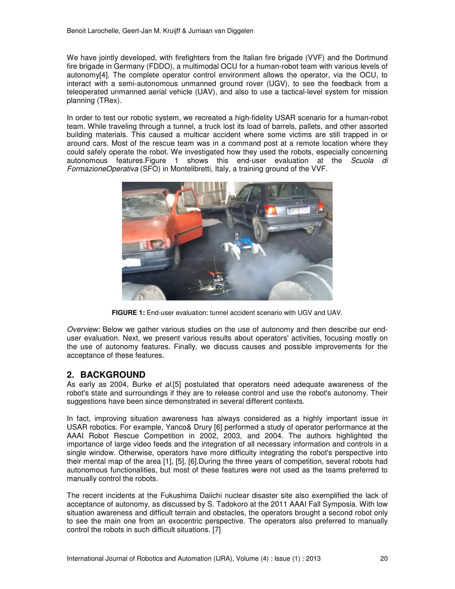We have jointly developed, with firefighters from the Italian fire brigade (VVF) and the Dortmund fire brigade in Germany (FDDO), a multimodal OCU for a human-robot team with various levels of autonomy[4]. The complete operator control environment allows the operator, via the OCU, to interact with a semi-autonomous unmanned ground rover (UGV), to see the feedback from a teleoperated unmanned aerial vehicle (UAV), and also to use a tactical-level system for mission planning (TRex).

In order to test our robotic system, we recreated a high-fidelity USAR scenario for a human-robot team. While traveling through a tunnel, a truck lost its load of barrels, pallets, and other assorted building materials. This caused a multicar accident where some victims are still trapped in or around cars. Most of the rescue team was in a command post at a remote location where they could safely operate the robot. We investigated how they used the robots, especially concerning autonomous features.Figure 1 shows this end-user evaluation at the *Scuola di FormazioneOperativa* (SFO) in Montelibretti, Italy, a training ground of the VVF.



**FIGURE 1:** End-user evaluation: tunnel accident scenario with UGV and UAV.

*Overview:* Below we gather various studies on the use of autonomy and then describe our enduser evaluation. Next, we present various results about operators' activities, focusing mostly on the use of autonomy features. Finally, we discuss causes and possible improvements for the acceptance of these features.

# **2. BACKGROUND**

As early as 2004, Burke *et al.*[5] postulated that operators need adequate awareness of the robot's state and surroundings if they are to release control and use the robot's autonomy. Their suggestions have been since demonstrated in several different contexts.

In fact, improving situation awareness has always considered as a highly important issue in USAR robotics. For example, Yanco& Drury [6] performed a study of operator performance at the AAAI Robot Rescue Competition in 2002, 2003, and 2004. The authors highlighted the importance of large video feeds and the integration of all necessary information and controls in a single window. Otherwise, operators have more difficulty integrating the robot's perspective into their mental map of the area [1], [5], [6].During the three years of competition, several robots had autonomous functionalities, but most of these features were not used as the teams preferred to manually control the robots.

The recent incidents at the Fukushima Daiichi nuclear disaster site also exemplified the lack of acceptance of autonomy, as discussed by S. Tadokoro at the 2011 AAAI Fall Symposia. With low situation awareness and difficult terrain and obstacles, the operators brought a second robot only to see the main one from an exocentric perspective. The operators also preferred to manually control the robots in such difficult situations. [7]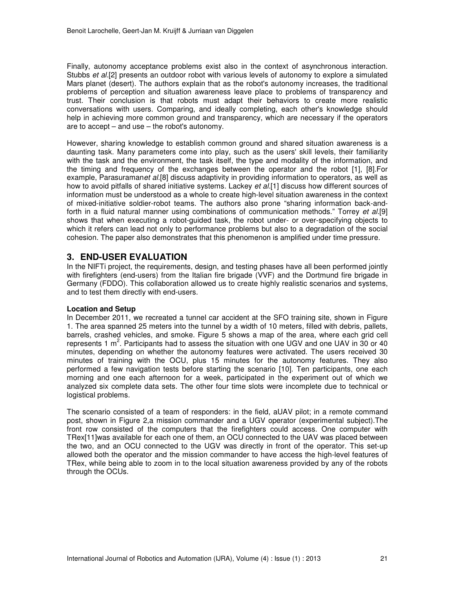Finally, autonomy acceptance problems exist also in the context of asynchronous interaction. Stubbs *et al.*[2] presents an outdoor robot with various levels of autonomy to explore a simulated Mars planet (desert). The authors explain that as the robot's autonomy increases, the traditional problems of perception and situation awareness leave place to problems of transparency and trust. Their conclusion is that robots must adapt their behaviors to create more realistic conversations with users. Comparing, and ideally completing, each other's knowledge should help in achieving more common ground and transparency, which are necessary if the operators are to  $accept - and use - the robot's automomy.$ 

However, sharing knowledge to establish common ground and shared situation awareness is a daunting task. Many parameters come into play, such as the users' skill levels, their familiarity with the task and the environment, the task itself, the type and modality of the information, and the timing and frequency of the exchanges between the operator and the robot [1], [8].For example, Parasuraman*et al.*[8] discuss adaptivity in providing information to operators, as well as how to avoid pitfalls of shared initiative systems. Lackey *et al.*[1] discuss how different sources of information must be understood as a whole to create high-level situation awareness in the context of mixed-initiative soldier-robot teams. The authors also prone "sharing information back-andforth in a fluid natural manner using combinations of communication methods." Torrey *et al.*[9] shows that when executing a robot-guided task, the robot under- or over-specifying objects to which it refers can lead not only to performance problems but also to a degradation of the social cohesion. The paper also demonstrates that this phenomenon is amplified under time pressure.

# **3. END-USER EVALUATION**

In the NIFTi project, the requirements, design, and testing phases have all been performed jointly with firefighters (end-users) from the Italian fire brigade (VVF) and the Dortmund fire brigade in Germany (FDDO). This collaboration allowed us to create highly realistic scenarios and systems, and to test them directly with end-users.

## **Location and Setup**

In December 2011, we recreated a tunnel car accident at the SFO training site, shown in Figure 1. The area spanned 25 meters into the tunnel by a width of 10 meters, filled with debris, pallets, barrels, crashed vehicles, and smoke. Figure 5 shows a map of the area, where each grid cell represents 1  $m^2$ . Participants had to assess the situation with one UGV and one UAV in 30 or 40 minutes, depending on whether the autonomy features were activated. The users received 30 minutes of training with the OCU, plus 15 minutes for the autonomy features. They also performed a few navigation tests before starting the scenario [10]. Ten participants, one each morning and one each afternoon for a week, participated in the experiment out of which we analyzed six complete data sets. The other four time slots were incomplete due to technical or logistical problems.

The scenario consisted of a team of responders: in the field, aUAV pilot; in a remote command post, shown in Figure 2,a mission commander and a UGV operator (experimental subject).The front row consisted of the computers that the firefighters could access. One computer with TRex[11]was available for each one of them, an OCU connected to the UAV was placed between the two, and an OCU connected to the UGV was directly in front of the operator. This set-up allowed both the operator and the mission commander to have access the high-level features of TRex, while being able to zoom in to the local situation awareness provided by any of the robots through the OCUs.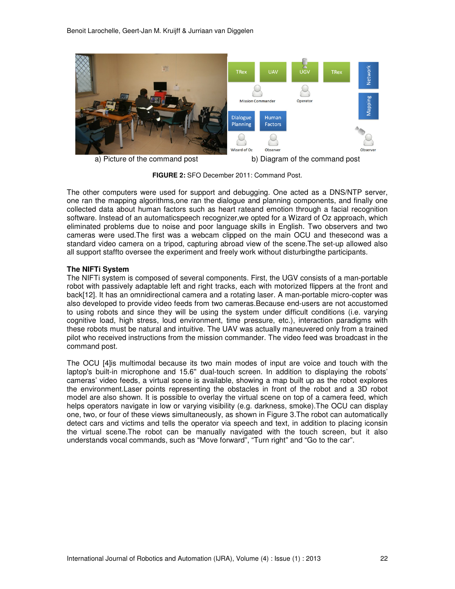

**FIGURE 2:** SFO December 2011: Command Post.

The other computers were used for support and debugging. One acted as a DNS/NTP server, one ran the mapping algorithms,one ran the dialogue and planning components, and finally one collected data about human factors such as heart rateand emotion through a facial recognition software. Instead of an automaticspeech recognizer,we opted for a Wizard of Oz approach, which eliminated problems due to noise and poor language skills in English. Two observers and two cameras were used.The first was a webcam clipped on the main OCU and thesecond was a standard video camera on a tripod, capturing abroad view of the scene.The set-up allowed also all support staffto oversee the experiment and freely work without disturbingthe participants.

## **The NIFTi System**

The NIFTi system is composed of several components. First, the UGV consists of a man-portable robot with passively adaptable left and right tracks, each with motorized flippers at the front and back[12]. It has an omnidirectional camera and a rotating laser. A man-portable micro-copter was also developed to provide video feeds from two cameras.Because end-users are not accustomed to using robots and since they will be using the system under difficult conditions (i.e. varying cognitive load, high stress, loud environment, time pressure, etc.), interaction paradigms with these robots must be natural and intuitive. The UAV was actually maneuvered only from a trained pilot who received instructions from the mission commander. The video feed was broadcast in the command post.

The OCU [4]is multimodal because its two main modes of input are voice and touch with the laptop's built-in microphone and 15.6'' dual-touch screen. In addition to displaying the robots' cameras' video feeds, a virtual scene is available, showing a map built up as the robot explores the environment.Laser points representing the obstacles in front of the robot and a 3D robot model are also shown. It is possible to overlay the virtual scene on top of a camera feed, which helps operators navigate in low or varying visibility (e.g. darkness, smoke).The OCU can display one, two, or four of these views simultaneously, as shown in Figure 3.The robot can automatically detect cars and victims and tells the operator via speech and text, in addition to placing iconsin the virtual scene.The robot can be manually navigated with the touch screen, but it also understands vocal commands, such as "Move forward", "Turn right" and "Go to the car".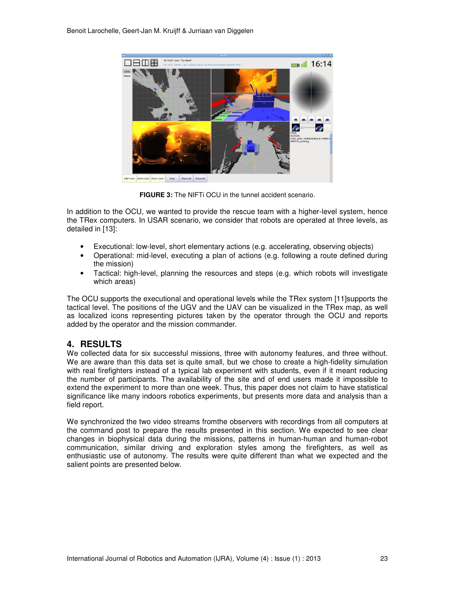

**FIGURE 3:** The NIFTI OCU in the tunnel accident scenario.

In addition to the OCU, we wanted to provide the rescue team with a higher-level system, hence the TRex computers. In USAR scenario, we consider that robots are operated at three levels, as detailed in [13]:

- Executional: low-level, short elementary actions (e.g. accelerating, observing objects)
- Operational: mid-level, executing a plan of actions (e.g. following a route defined during the mission)
- Tactical: high-level, planning the resources and steps (e.g. which robots will investigate which areas)

The OCU supports the executional and operational levels while the TRex system [11]supports the tactical level. The positions of the UGV and the UAV can be visualized in the TRex map, as well as localized icons representing pictures taken by the operator through the OCU and reports added by the operator and the mission commander.

# **4. RESULTS**

We collected data for six successful missions, three with autonomy features, and three without. We are aware than this data set is quite small, but we chose to create a high-fidelity simulation with real firefighters instead of a typical lab experiment with students, even if it meant reducing the number of participants. The availability of the site and of end users made it impossible to extend the experiment to more than one week. Thus, this paper does not claim to have statistical significance like many indoors robotics experiments, but presents more data and analysis than a field report.

We synchronized the two video streams fromthe observers with recordings from all computers at the command post to prepare the results presented in this section. We expected to see clear changes in biophysical data during the missions, patterns in human-human and human-robot communication, similar driving and exploration styles among the firefighters, as well as enthusiastic use of autonomy. The results were quite different than what we expected and the salient points are presented below.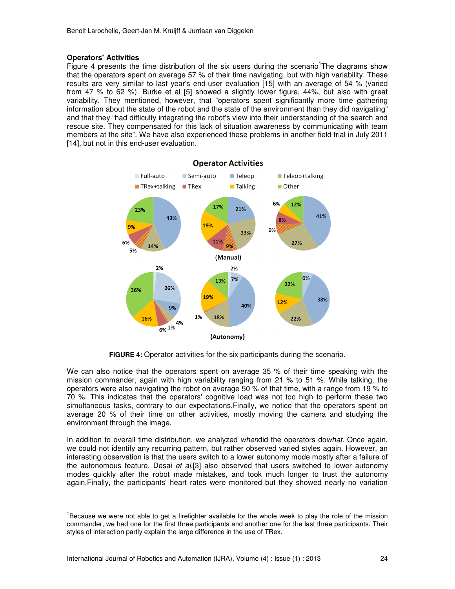# **Operators' Activities**

 $\overline{a}$ 

Figure 4 presents the time distribution of the six users during the scenario<sup>1</sup>The diagrams show that the operators spent on average 57 % of their time navigating, but with high variability. These results are very similar to last year's end-user evaluation [15] with an average of 54 % (varied from 47 % to 62 %). Burke et al [5] showed a slightly lower figure, 44%, but also with great variability. They mentioned, however, that "operators spent significantly more time gathering information about the state of the robot and the state of the environment than they did navigating" and that they "had difficulty integrating the robot's view into their understanding of the search and rescue site. They compensated for this lack of situation awareness by communicating with team members at the site". We have also experienced these problems in another field trial in July 2011 [14], but not in this end-user evaluation.



**FIGURE 4:** Operator activities for the six participants during the scenario.

We can also notice that the operators spent on average 35 % of their time speaking with the mission commander, again with high variability ranging from 21 % to 51 %. While talking, the operators were also navigating the robot on average 50 % of that time, with a range from 19 % to 70 %. This indicates that the operators' cognitive load was not too high to perform these two simultaneous tasks, contrary to our expectations.Finally, we notice that the operators spent on average 20 % of their time on other activities, mostly moving the camera and studying the environment through the image.

In addition to overall time distribution, we analyzed *when*did the operators do*what*. Once again, we could not identify any recurring pattern, but rather observed varied styles again. However, an interesting observation is that the users switch to a lower autonomy mode mostly after a failure of the autonomous feature. Desai *et al.*[3] also observed that users switched to lower autonomy modes quickly after the robot made mistakes, and took much longer to trust the autonomy again.Finally, the participants' heart rates were monitored but they showed nearly no variation

<sup>&</sup>lt;sup>1</sup>Because we were not able to get a firefighter available for the whole week to play the role of the mission commander, we had one for the first three participants and another one for the last three participants. Their styles of interaction partly explain the large difference in the use of TRex.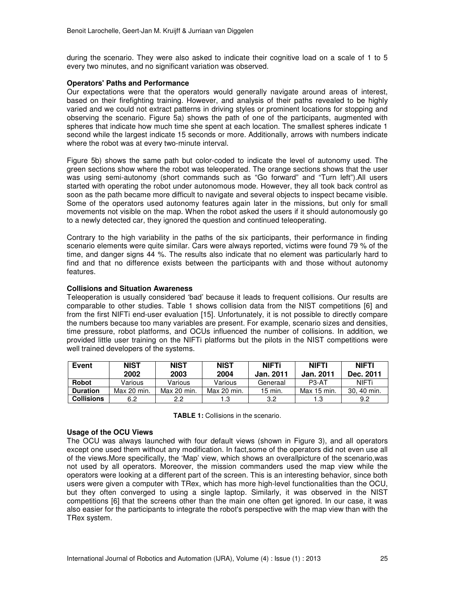during the scenario. They were also asked to indicate their cognitive load on a scale of 1 to 5 every two minutes, and no significant variation was observed.

## **Operators' Paths and Performance**

Our expectations were that the operators would generally navigate around areas of interest, based on their firefighting training. However, and analysis of their paths revealed to be highly varied and we could not extract patterns in driving styles or prominent locations for stopping and observing the scenario. Figure 5a) shows the path of one of the participants, augmented with spheres that indicate how much time she spent at each location. The smallest spheres indicate 1 second while the largest indicate 15 seconds or more. Additionally, arrows with numbers indicate where the robot was at every two-minute interval.

Figure 5b) shows the same path but color-coded to indicate the level of autonomy used. The green sections show where the robot was teleoperated. The orange sections shows that the user was using semi-autonomy (short commands such as "Go forward" and "Turn left").All users started with operating the robot under autonomous mode. However, they all took back control as soon as the path became more difficult to navigate and several objects to inspect became visible. Some of the operators used autonomy features again later in the missions, but only for small movements not visible on the map. When the robot asked the users if it should autonomously go to a newly detected car, they ignored the question and continued teleoperating.

Contrary to the high variability in the paths of the six participants, their performance in finding scenario elements were quite similar. Cars were always reported, victims were found 79 % of the time, and danger signs 44 %. The results also indicate that no element was particularly hard to find and that no difference exists between the participants with and those without autonomy features.

### **Collisions and Situation Awareness**

Teleoperation is usually considered 'bad' because it leads to frequent collisions. Our results are comparable to other studies. Table 1 shows collision data from the NIST competitions [6] and from the first NIFTi end-user evaluation [15]. Unfortunately, it is not possible to directly compare the numbers because too many variables are present. For example, scenario sizes and densities, time pressure, robot platforms, and OCUs influenced the number of collisions. In addition, we provided little user training on the NIFTi platforms but the pilots in the NIST competitions were well trained developers of the systems.

| Event             | <b>NIST</b><br>2002 | <b>NIST</b><br>2003 | <b>NIST</b><br>2004 | <b>NIFTi</b><br><b>Jan. 2011</b> | <b>NIFTI</b><br><b>Jan. 2011</b> | <b>NIFTI</b><br>Dec. 2011 |
|-------------------|---------------------|---------------------|---------------------|----------------------------------|----------------------------------|---------------------------|
| <b>Robot</b>      | Various             | Various             | Various             | Generaal                         | $P3-AT$                          | NIFTi                     |
| <b>Duration</b>   | Max 20 min.         | Max 20 min.         | Max 20 min.         | $15$ min.                        | Max 15 min.                      | 30.40 min.                |
| <b>Collisions</b> | 6.2                 | 2.2                 | 1.3                 | 3.2                              | 1.3                              | 9.2                       |

**TABLE 1:** Collisions in the scenario.

#### **Usage of the OCU Views**

The OCU was always launched with four default views (shown in Figure 3), and all operators except one used them without any modification. In fact,some of the operators did not even use all of the views.More specifically, the 'Map' view, which shows an overallpicture of the scenario,was not used by all operators. Moreover, the mission commanders used the map view while the operators were looking at a different part of the screen. This is an interesting behavior, since both users were given a computer with TRex, which has more high-level functionalities than the OCU, but they often converged to using a single laptop. Similarly, it was observed in the NIST competitions [6] that the screens other than the main one often get ignored. In our case, it was also easier for the participants to integrate the robot's perspective with the map view than with the TRex system.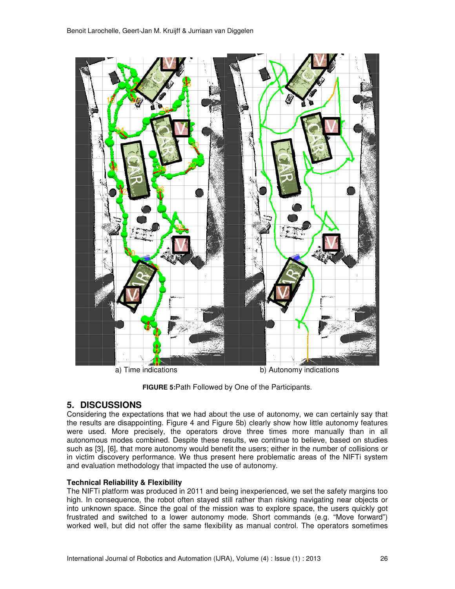

**FIGURE 5:**Path Followed by One of the Participants.

# **5. DISCUSSIONS**

Considering the expectations that we had about the use of autonomy, we can certainly say that the results are disappointing. Figure 4 and Figure 5b) clearly show how little autonomy features were used. More precisely, the operators drove three times more manually than in all autonomous modes combined. Despite these results, we continue to believe, based on studies such as [3], [6], that more autonomy would benefit the users; either in the number of collisions or in victim discovery performance. We thus present here problematic areas of the NIFTi system and evaluation methodology that impacted the use of autonomy.

# **Technical Reliability & Flexibility**

The NIFTi platform was produced in 2011 and being inexperienced, we set the safety margins too high. In consequence, the robot often stayed still rather than risking navigating near objects or into unknown space. Since the goal of the mission was to explore space, the users quickly got frustrated and switched to a lower autonomy mode. Short commands (e.g. "Move forward") worked well, but did not offer the same flexibility as manual control. The operators sometimes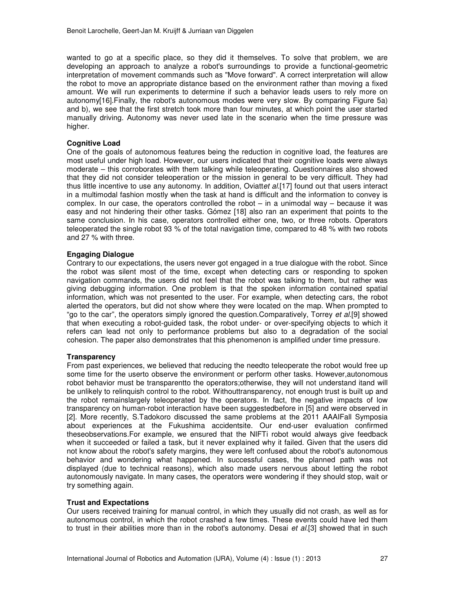wanted to go at a specific place, so they did it themselves. To solve that problem, we are developing an approach to analyze a robot's surroundings to provide a functional-geometric interpretation of movement commands such as "Move forward". A correct interpretation will allow the robot to move an appropriate distance based on the environment rather than moving a fixed amount. We will run experiments to determine if such a behavior leads users to rely more on autonomy[16].Finally, the robot's autonomous modes were very slow. By comparing Figure 5a) and b), we see that the first stretch took more than four minutes, at which point the user started manually driving. Autonomy was never used late in the scenario when the time pressure was higher.

## **Cognitive Load**

One of the goals of autonomous features being the reduction in cognitive load, the features are most useful under high load. However, our users indicated that their cognitive loads were always moderate – this corroborates with them talking while teleoperating. Questionnaires also showed that they did not consider teleoperation or the mission in general to be very difficult. They had thus little incentive to use any autonomy. In addition, Oviatt*et al.*[17] found out that users interact in a multimodal fashion mostly when the task at hand is difficult and the information to convey is complex. In our case, the operators controlled the robot  $-$  in a unimodal way  $-$  because it was easy and not hindering their other tasks. Gómez [18] also ran an experiment that points to the same conclusion. In his case, operators controlled either one, two, or three robots. Operators teleoperated the single robot 93 % of the total navigation time, compared to 48 % with two robots and 27 % with three.

## **Engaging Dialogue**

Contrary to our expectations, the users never got engaged in a true dialogue with the robot. Since the robot was silent most of the time, except when detecting cars or responding to spoken navigation commands, the users did not feel that the robot was talking to them, but rather was giving debugging information. One problem is that the spoken information contained spatial information, which was not presented to the user. For example, when detecting cars, the robot alerted the operators, but did not show where they were located on the map. When prompted to "go to the car", the operators simply ignored the question.Comparatively, Torrey *et al.*[9] showed that when executing a robot-guided task, the robot under- or over-specifying objects to which it refers can lead not only to performance problems but also to a degradation of the social cohesion. The paper also demonstrates that this phenomenon is amplified under time pressure.

## **Transparency**

From past experiences, we believed that reducing the needto teleoperate the robot would free up some time for the userto observe the environment or perform other tasks. However,autonomous robot behavior must be transparentto the operators;otherwise, they will not understand itand will be unlikely to relinquish control to the robot. Withouttransparency, not enough trust is built up and the robot remainslargely teleoperated by the operators. In fact, the negative impacts of low transparency on human-robot interaction have been suggestedbefore in [5] and were observed in [2]. More recently, S.Tadokoro discussed the same problems at the 2011 AAAIFall Symposia about experiences at the Fukushima accidentsite. Our end-user evaluation confirmed theseobservations.For example, we ensured that the NIFTi robot would always give feedback when it succeeded or failed a task, but it never explained why it failed. Given that the users did not know about the robot's safety margins, they were left confused about the robot's autonomous behavior and wondering what happened. In successful cases, the planned path was not displayed (due to technical reasons), which also made users nervous about letting the robot autonomously navigate. In many cases, the operators were wondering if they should stop, wait or try something again.

## **Trust and Expectations**

Our users received training for manual control, in which they usually did not crash, as well as for autonomous control, in which the robot crashed a few times. These events could have led them to trust in their abilities more than in the robot's autonomy. Desai *et al.*[3] showed that in such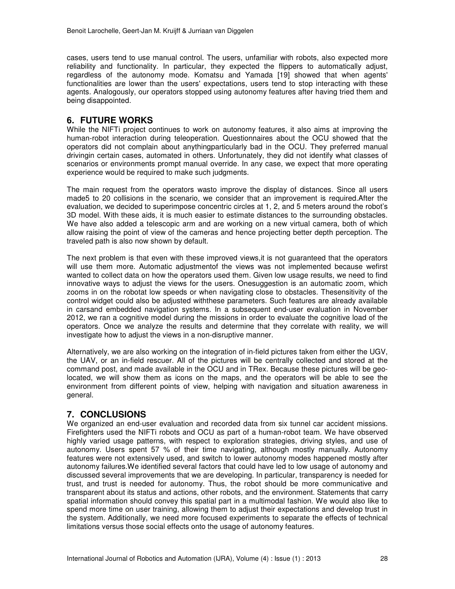cases, users tend to use manual control. The users, unfamiliar with robots, also expected more reliability and functionality. In particular, they expected the flippers to automatically adjust, regardless of the autonomy mode. Komatsu and Yamada [19] showed that when agents' functionalities are lower than the users' expectations, users tend to stop interacting with these agents. Analogously, our operators stopped using autonomy features after having tried them and being disappointed.

# **6. FUTURE WORKS**

While the NIFTi project continues to work on autonomy features, it also aims at improving the human-robot interaction during teleoperation. Questionnaires about the OCU showed that the operators did not complain about anythingparticularly bad in the OCU. They preferred manual drivingin certain cases, automated in others. Unfortunately, they did not identify what classes of scenarios or environments prompt manual override. In any case, we expect that more operating experience would be required to make such judgments.

The main request from the operators wasto improve the display of distances. Since all users made5 to 20 collisions in the scenario, we consider that an improvement is required.After the evaluation, we decided to superimpose concentric circles at 1, 2, and 5 meters around the robot's 3D model. With these aids, it is much easier to estimate distances to the surrounding obstacles. We have also added a telescopic arm and are working on a new virtual camera, both of which allow raising the point of view of the cameras and hence projecting better depth perception. The traveled path is also now shown by default.

The next problem is that even with these improved views,it is not guaranteed that the operators will use them more. Automatic adjustmentof the views was not implemented because wefirst wanted to collect data on how the operators used them. Given low usage results, we need to find innovative ways to adjust the views for the users. Onesuggestion is an automatic zoom, which zooms in on the robotat low speeds or when navigating close to obstacles. Thesensitivity of the control widget could also be adjusted withthese parameters. Such features are already available in carsand embedded navigation systems. In a subsequent end-user evaluation in November 2012, we ran a cognitive model during the missions in order to evaluate the cognitive load of the operators. Once we analyze the results and determine that they correlate with reality, we will investigate how to adjust the views in a non-disruptive manner.

Alternatively, we are also working on the integration of in-field pictures taken from either the UGV, the UAV, or an in-field rescuer. All of the pictures will be centrally collected and stored at the command post, and made available in the OCU and in TRex. Because these pictures will be geolocated, we will show them as icons on the maps, and the operators will be able to see the environment from different points of view, helping with navigation and situation awareness in general.

# **7. CONCLUSIONS**

We organized an end-user evaluation and recorded data from six tunnel car accident missions. Firefighters used the NIFTi robots and OCU as part of a human-robot team. We have observed highly varied usage patterns, with respect to exploration strategies, driving styles, and use of autonomy. Users spent 57 % of their time navigating, although mostly manually. Autonomy features were not extensively used, and switch to lower autonomy modes happened mostly after autonomy failures.We identified several factors that could have led to low usage of autonomy and discussed several improvements that we are developing. In particular, transparency is needed for trust, and trust is needed for autonomy. Thus, the robot should be more communicative and transparent about its status and actions, other robots, and the environment. Statements that carry spatial information should convey this spatial part in a multimodal fashion. We would also like to spend more time on user training, allowing them to adjust their expectations and develop trust in the system. Additionally, we need more focused experiments to separate the effects of technical limitations versus those social effects onto the usage of autonomy features.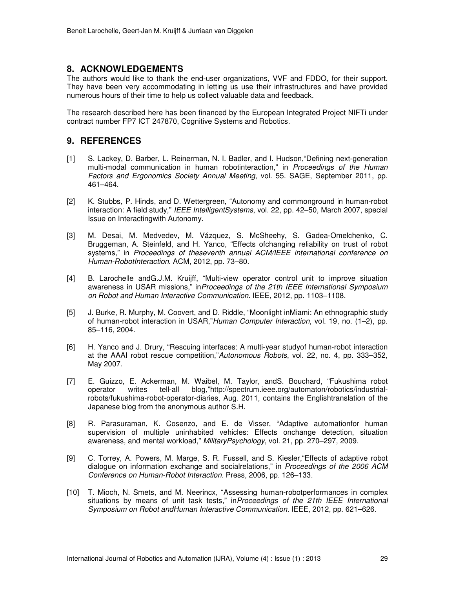# **8. ACKNOWLEDGEMENTS**

The authors would like to thank the end-user organizations, VVF and FDDO, for their support. They have been very accommodating in letting us use their infrastructures and have provided numerous hours of their time to help us collect valuable data and feedback.

The research described here has been financed by the European Integrated Project NIFTi under contract number FP7 ICT 247870, Cognitive Systems and Robotics.

# **9. REFERENCES**

- [1] S. Lackey, D. Barber, L. Reinerman, N. I. Badler, and I. Hudson,"Defining next-generation multi-modal communication in human robotinteraction," in *Proceedings of the Human Factors and Ergonomics Society Annual Meeting*, vol. 55. SAGE, September 2011, pp. 461–464.
- [2] K. Stubbs, P. Hinds, and D. Wettergreen, "Autonomy and commonground in human-robot interaction: A field study," *IEEE IntelligentSystems*, vol. 22, pp. 42–50, March 2007, special Issue on Interactingwith Autonomy.
- [3] M. Desai, M. Medvedev, M. Vázquez, S. McSheehy, S. Gadea-Omelchenko, C. Bruggeman, A. Steinfeld, and H. Yanco, "Effects ofchanging reliability on trust of robot systems," in *Proceedings of theseventh annual ACM/IEEE international conference on Human-RobotInteraction*. ACM, 2012, pp. 73–80.
- [4] B. Larochelle andG.J.M. Kruijff, "Multi-view operator control unit to improve situation awareness in USAR missions," in*Proceedings of the 21th IEEE International Symposium on Robot and Human Interactive Communication*. IEEE, 2012, pp. 1103–1108.
- [5] J. Burke, R. Murphy, M. Coovert, and D. Riddle, "Moonlight inMiami: An ethnographic study of human-robot interaction in USAR,"*Human Computer Interaction*, vol. 19, no. (1–2), pp. 85–116, 2004.
- [6] H. Yanco and J. Drury, "Rescuing interfaces: A multi-year studyof human-robot interaction at the AAAI robot rescue competition,"*Autonomous Robots*, vol. 22, no. 4, pp. 333–352, May 2007.
- [7] E. Guizzo, E. Ackerman, M. Waibel, M. Taylor, andS. Bouchard, "Fukushima robot operator writes tell-all blog,"http://spectrum.ieee.org/automaton/robotics/industrialrobots/fukushima-robot-operator-diaries, Aug. 2011, contains the Englishtranslation of the Japanese blog from the anonymous author S.H.
- [8] R. Parasuraman, K. Cosenzo, and E. de Visser, "Adaptive automationfor human supervision of multiple uninhabited vehicles: Effects onchange detection, situation awareness, and mental workload," *MilitaryPsychology*, vol. 21, pp. 270–297, 2009.
- [9] C. Torrey, A. Powers, M. Marge, S. R. Fussell, and S. Kiesler,"Effects of adaptive robot dialogue on information exchange and socialrelations," in *Proceedings of the 2006 ACM Conference on Human-Robot Interaction*. Press, 2006, pp. 126–133.
- [10] T. Mioch, N. Smets, and M. Neerincx, "Assessing human-robotperformances in complex situations by means of unit task tests," in*Proceedings of the 21th IEEE International Symposium on Robot andHuman Interactive Communication*. IEEE, 2012, pp. 621–626.